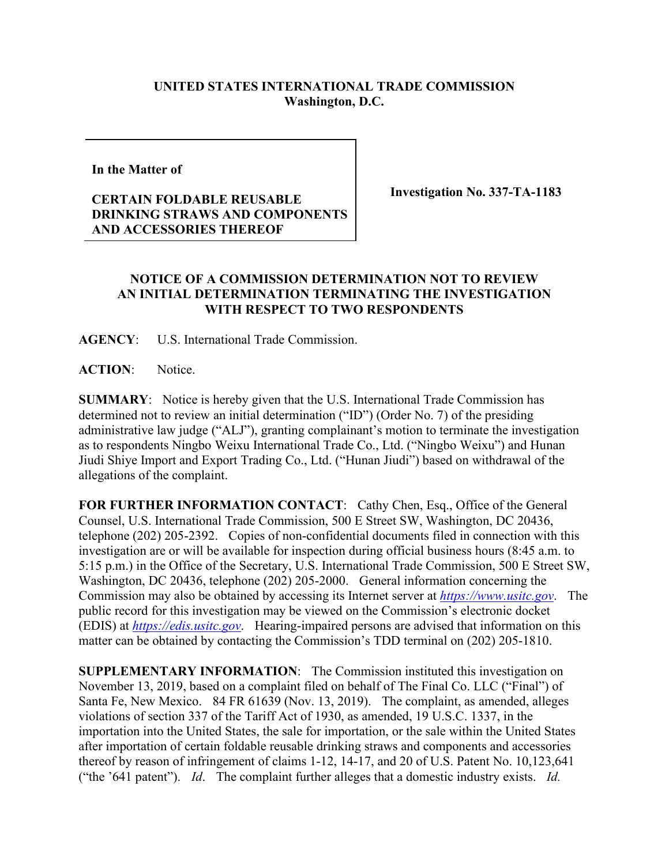## **UNITED STATES INTERNATIONAL TRADE COMMISSION Washington, D.C.**

**In the Matter of** 

## **CERTAIN FOLDABLE REUSABLE DRINKING STRAWS AND COMPONENTS AND ACCESSORIES THEREOF**

**Investigation No. 337-TA-1183**

## **NOTICE OF A COMMISSION DETERMINATION NOT TO REVIEW AN INITIAL DETERMINATION TERMINATING THE INVESTIGATION WITH RESPECT TO TWO RESPONDENTS**

**AGENCY**: U.S. International Trade Commission.

ACTION: Notice.

**SUMMARY**: Notice is hereby given that the U.S. International Trade Commission has determined not to review an initial determination ("ID") (Order No. 7) of the presiding administrative law judge ("ALJ"), granting complainant's motion to terminate the investigation as to respondents Ningbo Weixu International Trade Co., Ltd. ("Ningbo Weixu") and Hunan Jiudi Shiye Import and Export Trading Co., Ltd. ("Hunan Jiudi") based on withdrawal of the allegations of the complaint.

FOR FURTHER INFORMATION CONTACT: Cathy Chen, Esq., Office of the General Counsel, U.S. International Trade Commission, 500 E Street SW, Washington, DC 20436, telephone (202) 205-2392. Copies of non-confidential documents filed in connection with this investigation are or will be available for inspection during official business hours (8:45 a.m. to 5:15 p.m.) in the Office of the Secretary, U.S. International Trade Commission, 500 E Street SW, Washington, DC 20436, telephone (202) 205-2000. General information concerning the Commission may also be obtained by accessing its Internet server at *[https://www.usitc.gov](https://www.usitc.gov/)*. The public record for this investigation may be viewed on the Commission's electronic docket (EDIS) at *[https://edis.usitc.gov](https://edis.usitc.gov/)*. Hearing-impaired persons are advised that information on this matter can be obtained by contacting the Commission's TDD terminal on (202) 205-1810.

**SUPPLEMENTARY INFORMATION**: The Commission instituted this investigation on November 13, 2019, based on a complaint filed on behalf of The Final Co. LLC ("Final") of Santa Fe, New Mexico. 84 FR 61639 (Nov. 13, 2019). The complaint, as amended, alleges violations of section 337 of the Tariff Act of 1930, as amended, 19 U.S.C. 1337, in the importation into the United States, the sale for importation, or the sale within the United States after importation of certain foldable reusable drinking straws and components and accessories thereof by reason of infringement of claims 1-12, 14-17, and 20 of U.S. Patent No. 10,123,641 ("the '641 patent"). *Id*. The complaint further alleges that a domestic industry exists. *Id.*